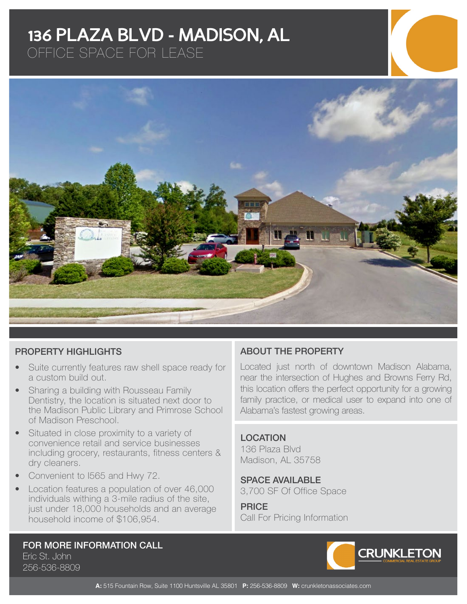## **136 PLAZA BLVD - MADISON, AL**

OFFICE SPACE FOR LEASE



#### PROPERTY HIGHLIGHTS

- Suite currently features raw shell space ready for a custom build out.
- Sharing a building with Rousseau Family Dentistry, the location is situated next door to the Madison Public Library and Primrose School of Madison Preschool.
- Situated in close proximity to a variety of convenience retail and service businesses including grocery, restaurants, fitness centers & dry cleaners.
- Convenient to I565 and Hwy 72.
- Location features a population of over 46,000 individuals withing a 3-mile radius of the site, just under 18,000 households and an average household income of \$106,954.

### ABOUT THE PROPERTY

Located just north of downtown Madison Alabama, near the intersection of Hughes and Browns Ferry Rd, this location offers the perfect opportunity for a growing family practice, or medical user to expand into one of Alabama's fastest growing areas.

#### LOCATION

136 Plaza Blvd Madison, AL 35758

SPACE AVAILABLE 3,700 SF Of Office Space

**PRICE** Call For Pricing Information

# FOR MORE INFORMATION CALL